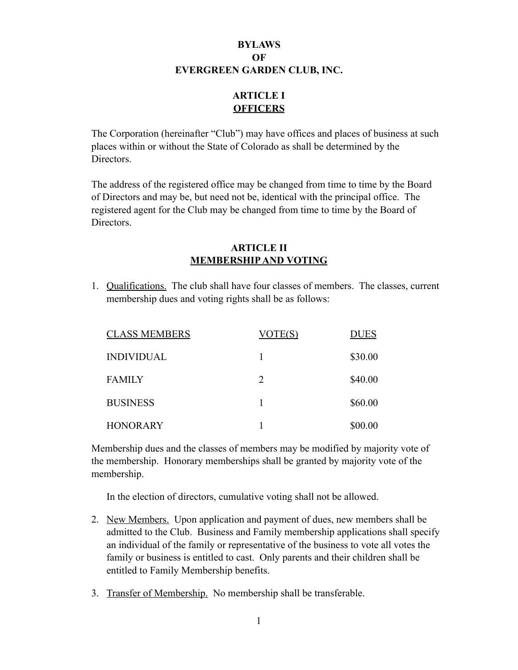# **BYLAWS OF EVERGREEN GARDEN CLUB, INC.**

# **ARTICLE I OFFICERS**

The Corporation (hereinafter "Club") may have offices and places of business at such places within or without the State of Colorado as shall be determined by the Directors.

The address of the registered office may be changed from time to time by the Board of Directors and may be, but need not be, identical with the principal office. The registered agent for the Club may be changed from time to time by the Board of Directors.

### **ARTICLE II MEMBERSHIP AND VOTING**

1. Qualifications. The club shall have four classes of members. The classes, current membership dues and voting rights shall be as follows:

|               | <b>CLASS MEMBERS</b> | VOTE(S)                     | <b>DUES</b> |
|---------------|----------------------|-----------------------------|-------------|
|               | <b>INDIVIDUAL</b>    |                             | \$30.00     |
| <b>FAMILY</b> |                      | $\mathcal{D}_{\mathcal{L}}$ | \$40.00     |
|               | <b>BUSINESS</b>      |                             | \$60.00     |
|               | <b>HONORARY</b>      |                             | \$00.00     |

Membership dues and the classes of members may be modified by majority vote of the membership. Honorary memberships shall be granted by majority vote of the membership.

In the election of directors, cumulative voting shall not be allowed.

- 2. New Members. Upon application and payment of dues, new members shall be admitted to the Club. Business and Family membership applications shall specify an individual of the family or representative of the business to vote all votes the family or business is entitled to cast. Only parents and their children shall be entitled to Family Membership benefits.
- 3. Transfer of Membership. No membership shall be transferable.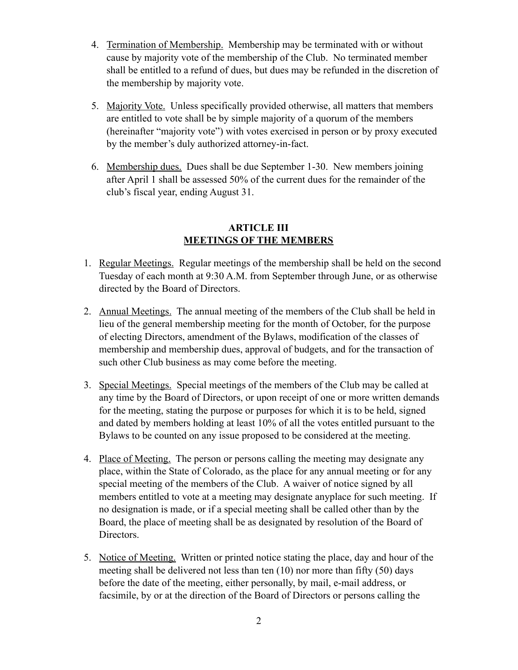- 4. Termination of Membership. Membership may be terminated with or without cause by majority vote of the membership of the Club. No terminated member shall be entitled to a refund of dues, but dues may be refunded in the discretion of the membership by majority vote.
- 5. Majority Vote. Unless specifically provided otherwise, all matters that members are entitled to vote shall be by simple majority of a quorum of the members (hereinafter "majority vote") with votes exercised in person or by proxy executed by the member's duly authorized attorney-in-fact.
- 6. Membership dues. Dues shall be due September 1-30. New members joining after April 1 shall be assessed 50% of the current dues for the remainder of the club's fiscal year, ending August 31.

### **ARTICLE III MEETINGS OF THE MEMBERS**

- 1. Regular Meetings. Regular meetings of the membership shall be held on the second Tuesday of each month at 9:30 A.M. from September through June, or as otherwise directed by the Board of Directors.
- 2. Annual Meetings. The annual meeting of the members of the Club shall be held in lieu of the general membership meeting for the month of October, for the purpose of electing Directors, amendment of the Bylaws, modification of the classes of membership and membership dues, approval of budgets, and for the transaction of such other Club business as may come before the meeting.
- 3. Special Meetings. Special meetings of the members of the Club may be called at any time by the Board of Directors, or upon receipt of one or more written demands for the meeting, stating the purpose or purposes for which it is to be held, signed and dated by members holding at least 10% of all the votes entitled pursuant to the Bylaws to be counted on any issue proposed to be considered at the meeting.
- 4. Place of Meeting. The person or persons calling the meeting may designate any place, within the State of Colorado, as the place for any annual meeting or for any special meeting of the members of the Club. A waiver of notice signed by all members entitled to vote at a meeting may designate anyplace for such meeting. If no designation is made, or if a special meeting shall be called other than by the Board, the place of meeting shall be as designated by resolution of the Board of Directors.
- 5. Notice of Meeting. Written or printed notice stating the place, day and hour of the meeting shall be delivered not less than ten (10) nor more than fifty (50) days before the date of the meeting, either personally, by mail, e-mail address, or facsimile, by or at the direction of the Board of Directors or persons calling the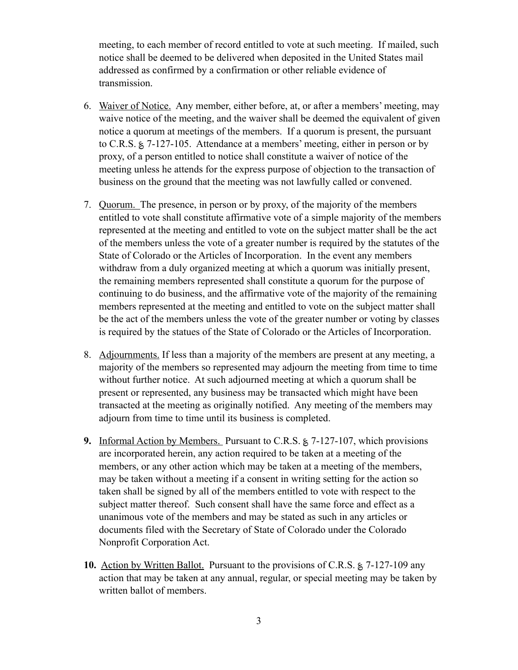meeting, to each member of record entitled to vote at such meeting. If mailed, such notice shall be deemed to be delivered when deposited in the United States mail addressed as confirmed by a confirmation or other reliable evidence of transmission.

- 6. Waiver of Notice. Any member, either before, at, or after a members' meeting, may waive notice of the meeting, and the waiver shall be deemed the equivalent of given notice a quorum at meetings of the members. If a quorum is present, the pursuant to C.R.S. ؏ 7-127-105. Attendance at a members' meeting, either in person or by proxy, of a person entitled to notice shall constitute a waiver of notice of the meeting unless he attends for the express purpose of objection to the transaction of business on the ground that the meeting was not lawfully called or convened.
- 7. Quorum. The presence, in person or by proxy, of the majority of the members entitled to vote shall constitute affirmative vote of a simple majority of the members represented at the meeting and entitled to vote on the subject matter shall be the act of the members unless the vote of a greater number is required by the statutes of the State of Colorado or the Articles of Incorporation. In the event any members withdraw from a duly organized meeting at which a quorum was initially present, the remaining members represented shall constitute a quorum for the purpose of continuing to do business, and the affirmative vote of the majority of the remaining members represented at the meeting and entitled to vote on the subject matter shall be the act of the members unless the vote of the greater number or voting by classes is required by the statues of the State of Colorado or the Articles of Incorporation.
- 8. Adjournments. If less than a majority of the members are present at any meeting, a majority of the members so represented may adjourn the meeting from time to time without further notice. At such adjourned meeting at which a quorum shall be present or represented, any business may be transacted which might have been transacted at the meeting as originally notified. Any meeting of the members may adjourn from time to time until its business is completed.
- **9.** Informal Action by Members. Pursuant to C.R.S.  $\approx$  7-127-107, which provisions are incorporated herein, any action required to be taken at a meeting of the members, or any other action which may be taken at a meeting of the members, may be taken without a meeting if a consent in writing setting for the action so taken shall be signed by all of the members entitled to vote with respect to the subject matter thereof. Such consent shall have the same force and effect as a unanimous vote of the members and may be stated as such in any articles or documents filed with the Secretary of State of Colorado under the Colorado Nonprofit Corporation Act.
- **10.** Action by Written Ballot. Pursuant to the provisions of C.R.S.  $\approx 7-127-109$  any action that may be taken at any annual, regular, or special meeting may be taken by written ballot of members.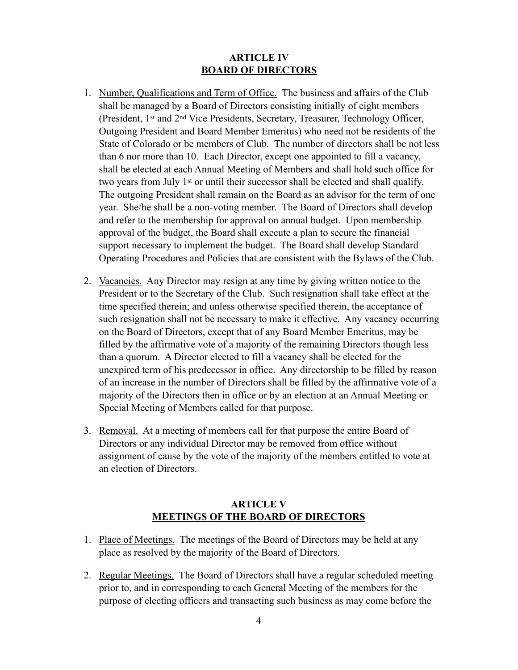### **ARTICLE IV BOARD OF DIRECTORS**

- 1. Number, Qualifications and Term of Office. The business and affairs of the Club shall be managed by a Board of Directors consisting initially of eight members (President, 1st and 2nd Vice Presidents, Secretary, Treasurer, Technology Officer, Outgoing President and Board Member Emeritus) who need not be residents of the State of Colorado or be members of Club. The number of directors shall be not less than 6 nor more than 10. Each Director, except one appointed to fill a vacancy, shall be elected at each Annual Meeting of Members and shall hold such office for two years from July 1st or until their successor shall be elected and shall qualify. The outgoing President shall remain on the Board as an advisor for the term of one year. She/he shall be a non-voting member. The Board of Directors shall develop and refer to the membership for approval on annual budget. Upon membership approval of the budget, the Board shall execute a plan to secure the financial support necessary to implement the budget. The Board shall develop Standard Operating Procedures and Policies that are consistent with the Bylaws of the Club.
- 2. Vacancies. Any Director may resign at any time by giving written notice to the President or to the Secretary of the Club. Such resignation shall take effect at the time specified therein; and unless otherwise specified therein, the acceptance of such resignation shall not be necessary to make it effective. Any vacancy occurring on the Board of Directors, except that of any Board Member Emeritus, may be filled by the affirmative vote of a majority of the remaining Directors though less than a quorum. A Director elected to fill a vacancy shall be elected for the unexpired term of his predecessor in office. Any directorship to be filled by reason of an increase in the number of Directors shall be filled by the affirmative vote of a majority of the Directors then in office or by an election at an Annual Meeting or Special Meeting of Members called for that purpose.
- 3. Removal. At a meeting of members call for that purpose the entire Board of Directors or any individual Director may be removed from office without assignment of cause by the vote of the majority of the members entitled to vote at an election of Directors.

### **ARTICLE V MEETINGS OF THE BOARD OF DIRECTORS**

- 1. Place of Meetings. The meetings of the Board of Directors may be held at any place as resolved by the majority of the Board of Directors.
- 2. Regular Meetings. The Board of Directors shall have a regular scheduled meeting prior to, and in corresponding to each General Meeting of the members for the purpose of electing officers and transacting such business as may come before the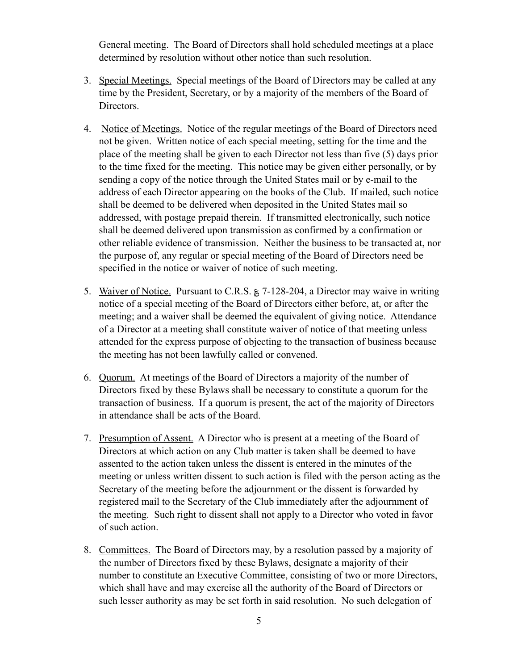General meeting. The Board of Directors shall hold scheduled meetings at a place determined by resolution without other notice than such resolution.

- 3. Special Meetings. Special meetings of the Board of Directors may be called at any time by the President, Secretary, or by a majority of the members of the Board of Directors.
- 4. Notice of Meetings. Notice of the regular meetings of the Board of Directors need not be given. Written notice of each special meeting, setting for the time and the place of the meeting shall be given to each Director not less than five (5) days prior to the time fixed for the meeting. This notice may be given either personally, or by sending a copy of the notice through the United States mail or by e-mail to the address of each Director appearing on the books of the Club. If mailed, such notice shall be deemed to be delivered when deposited in the United States mail so addressed, with postage prepaid therein. If transmitted electronically, such notice shall be deemed delivered upon transmission as confirmed by a confirmation or other reliable evidence of transmission. Neither the business to be transacted at, nor the purpose of, any regular or special meeting of the Board of Directors need be specified in the notice or waiver of notice of such meeting.
- 5. Waiver of Notice. Pursuant to C.R.S. ؏ 7-128-204, a Director may waive in writing notice of a special meeting of the Board of Directors either before, at, or after the meeting; and a waiver shall be deemed the equivalent of giving notice. Attendance of a Director at a meeting shall constitute waiver of notice of that meeting unless attended for the express purpose of objecting to the transaction of business because the meeting has not been lawfully called or convened.
- 6. Quorum. At meetings of the Board of Directors a majority of the number of Directors fixed by these Bylaws shall be necessary to constitute a quorum for the transaction of business. If a quorum is present, the act of the majority of Directors in attendance shall be acts of the Board.
- 7. Presumption of Assent. A Director who is present at a meeting of the Board of Directors at which action on any Club matter is taken shall be deemed to have assented to the action taken unless the dissent is entered in the minutes of the meeting or unless written dissent to such action is filed with the person acting as the Secretary of the meeting before the adjournment or the dissent is forwarded by registered mail to the Secretary of the Club immediately after the adjournment of the meeting. Such right to dissent shall not apply to a Director who voted in favor of such action.
- 8. Committees. The Board of Directors may, by a resolution passed by a majority of the number of Directors fixed by these Bylaws, designate a majority of their number to constitute an Executive Committee, consisting of two or more Directors, which shall have and may exercise all the authority of the Board of Directors or such lesser authority as may be set forth in said resolution. No such delegation of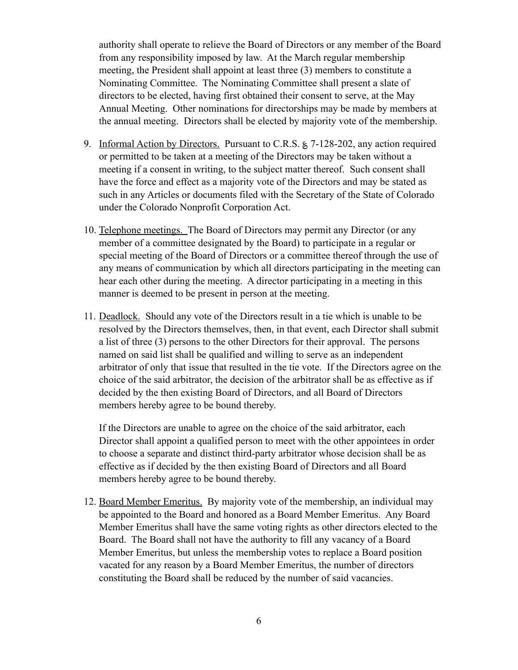authority shall operate to relieve the Board of Directors or any member of the Board from any responsibility imposed by law. At the March regular membership meeting, the President shall appoint at least three (3) members to constitute a Nominating Committee. The Nominating Committee shall present a slate of directors to be elected, having first obtained their consent to serve, at the May Annual Meeting. Other nominations for directorships may be made by members at the annual meeting. Directors shall be elected by majority vote of the membership.

- 9. Informal Action by Directors. Pursuant to C.R.S.  $\approx$  7-128-202, any action required or permitted to be taken at a meeting of the Directors may be taken without a meeting if a consent in writing, to the subject matter thereof. Such consent shall have the force and effect as a majority vote of the Directors and may be stated as such in any Articles or documents filed with the Secretary of the State of Colorado under the Colorado Nonprofit Corporation Act.
- 10. Telephone meetings. The Board of Directors may permit any Director (or any member of a committee designated by the Board) to participate in a regular or special meeting of the Board of Directors or a committee thereof through the use of any means of communication by which all directors participating in the meeting can hear each other during the meeting. A director participating in a meeting in this manner is deemed to be present in person at the meeting.
- 11. Deadlock. Should any vote of the Directors result in a tie which is unable to be resolved by the Directors themselves, then, in that event, each Director shall submit a list of three (3) persons to the other Directors for their approval. The persons named on said list shall be qualified and willing to serve as an independent arbitrator of only that issue that resulted in the tie vote. If the Directors agree on the choice of the said arbitrator, the decision of the arbitrator shall be as effective as if decided by the then existing Board of Directors, and all Board of Directors members hereby agree to be bound thereby.

 If the Directors are unable to agree on the choice of the said arbitrator, each Director shall appoint a qualified person to meet with the other appointees in order to choose a separate and distinct third-party arbitrator whose decision shall be as effective as if decided by the then existing Board of Directors and all Board members hereby agree to be bound thereby.

12. Board Member Emeritus. By majority vote of the membership, an individual may be appointed to the Board and honored as a Board Member Emeritus. Any Board Member Emeritus shall have the same voting rights as other directors elected to the Board. The Board shall not have the authority to fill any vacancy of a Board Member Emeritus, but unless the membership votes to replace a Board position vacated for any reason by a Board Member Emeritus, the number of directors constituting the Board shall be reduced by the number of said vacancies.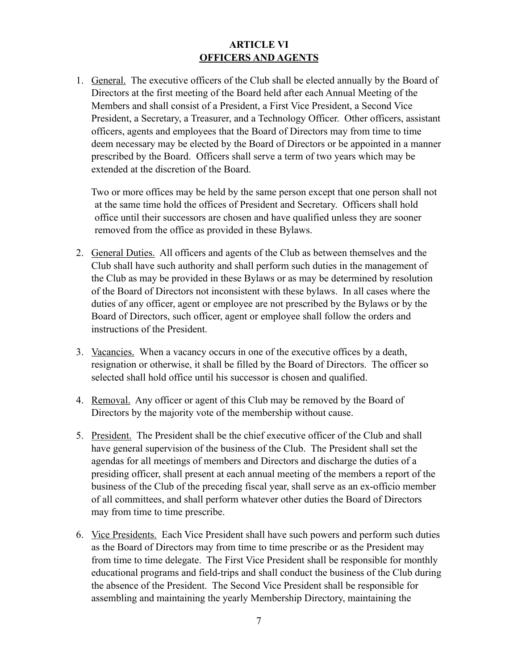## **ARTICLE VI OFFICERS AND AGENTS**

1. General. The executive officers of the Club shall be elected annually by the Board of Directors at the first meeting of the Board held after each Annual Meeting of the Members and shall consist of a President, a First Vice President, a Second Vice President, a Secretary, a Treasurer, and a Technology Officer. Other officers, assistant officers, agents and employees that the Board of Directors may from time to time deem necessary may be elected by the Board of Directors or be appointed in a manner prescribed by the Board. Officers shall serve a term of two years which may be extended at the discretion of the Board.

 Two or more offices may be held by the same person except that one person shall not at the same time hold the offices of President and Secretary. Officers shall hold office until their successors are chosen and have qualified unless they are sooner removed from the office as provided in these Bylaws.

- 2. General Duties. All officers and agents of the Club as between themselves and the Club shall have such authority and shall perform such duties in the management of the Club as may be provided in these Bylaws or as may be determined by resolution of the Board of Directors not inconsistent with these bylaws. In all cases where the duties of any officer, agent or employee are not prescribed by the Bylaws or by the Board of Directors, such officer, agent or employee shall follow the orders and instructions of the President.
- 3. Vacancies. When a vacancy occurs in one of the executive offices by a death, resignation or otherwise, it shall be filled by the Board of Directors. The officer so selected shall hold office until his successor is chosen and qualified.
- 4. Removal. Any officer or agent of this Club may be removed by the Board of Directors by the majority vote of the membership without cause.
- 5. President. The President shall be the chief executive officer of the Club and shall have general supervision of the business of the Club. The President shall set the agendas for all meetings of members and Directors and discharge the duties of a presiding officer, shall present at each annual meeting of the members a report of the business of the Club of the preceding fiscal year, shall serve as an ex-officio member of all committees, and shall perform whatever other duties the Board of Directors may from time to time prescribe.
- 6. Vice Presidents. Each Vice President shall have such powers and perform such duties as the Board of Directors may from time to time prescribe or as the President may from time to time delegate. The First Vice President shall be responsible for monthly educational programs and field-trips and shall conduct the business of the Club during the absence of the President. The Second Vice President shall be responsible for assembling and maintaining the yearly Membership Directory, maintaining the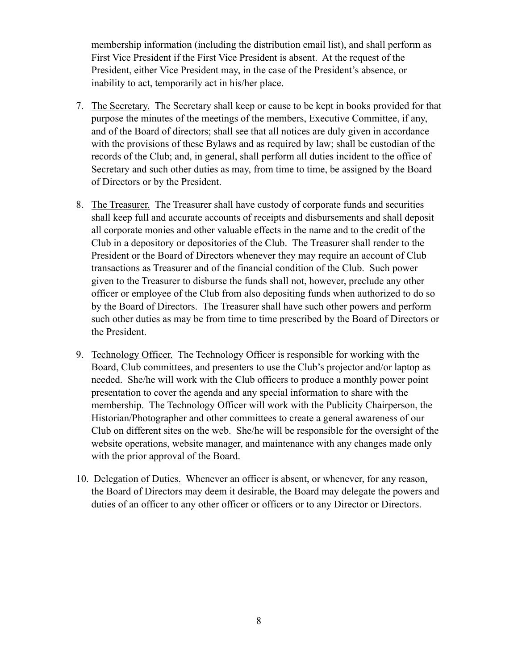membership information (including the distribution email list), and shall perform as First Vice President if the First Vice President is absent. At the request of the President, either Vice President may, in the case of the President's absence, or inability to act, temporarily act in his/her place.

- 7. The Secretary. The Secretary shall keep or cause to be kept in books provided for that purpose the minutes of the meetings of the members, Executive Committee, if any, and of the Board of directors; shall see that all notices are duly given in accordance with the provisions of these Bylaws and as required by law; shall be custodian of the records of the Club; and, in general, shall perform all duties incident to the office of Secretary and such other duties as may, from time to time, be assigned by the Board of Directors or by the President.
- 8. The Treasurer. The Treasurer shall have custody of corporate funds and securities shall keep full and accurate accounts of receipts and disbursements and shall deposit all corporate monies and other valuable effects in the name and to the credit of the Club in a depository or depositories of the Club. The Treasurer shall render to the President or the Board of Directors whenever they may require an account of Club transactions as Treasurer and of the financial condition of the Club. Such power given to the Treasurer to disburse the funds shall not, however, preclude any other officer or employee of the Club from also depositing funds when authorized to do so by the Board of Directors. The Treasurer shall have such other powers and perform such other duties as may be from time to time prescribed by the Board of Directors or the President.
- 9. Technology Officer. The Technology Officer is responsible for working with the Board, Club committees, and presenters to use the Club's projector and/or laptop as needed. She/he will work with the Club officers to produce a monthly power point presentation to cover the agenda and any special information to share with the membership. The Technology Officer will work with the Publicity Chairperson, the Historian/Photographer and other committees to create a general awareness of our Club on different sites on the web. She/he will be responsible for the oversight of the website operations, website manager, and maintenance with any changes made only with the prior approval of the Board.
- 10. Delegation of Duties. Whenever an officer is absent, or whenever, for any reason, the Board of Directors may deem it desirable, the Board may delegate the powers and duties of an officer to any other officer or officers or to any Director or Directors.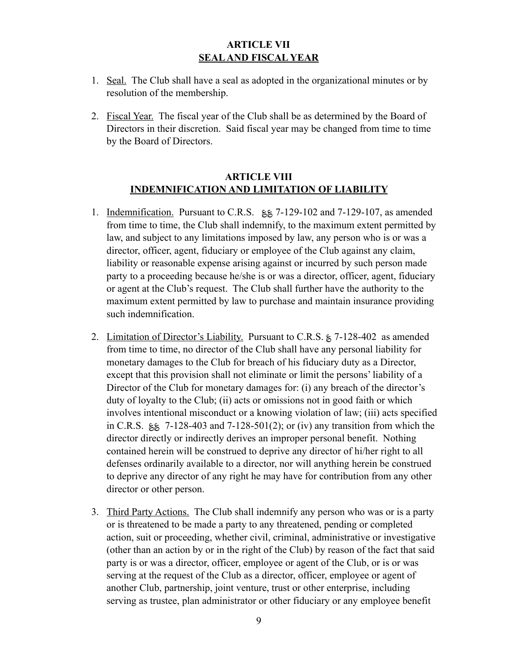### **ARTICLE VII SEAL AND FISCAL YEAR**

- 1. Seal. The Club shall have a seal as adopted in the organizational minutes or by resolution of the membership.
- 2. Fiscal Year. The fiscal year of the Club shall be as determined by the Board of Directors in their discretion. Said fiscal year may be changed from time to time by the Board of Directors.

### **ARTICLE VIII INDEMNIFICATION AND LIMITATION OF LIABILITY**

- 1. Indemnification. Pursuant to C.R.S.  $\&$  7-129-102 and 7-129-107, as amended from time to time, the Club shall indemnify, to the maximum extent permitted by law, and subject to any limitations imposed by law, any person who is or was a director, officer, agent, fiduciary or employee of the Club against any claim, liability or reasonable expense arising against or incurred by such person made party to a proceeding because he/she is or was a director, officer, agent, fiduciary or agent at the Club's request. The Club shall further have the authority to the maximum extent permitted by law to purchase and maintain insurance providing such indemnification.
- 2. Limitation of Director's Liability. Pursuant to C.R.S. ؏ 7-128-402 as amended from time to time, no director of the Club shall have any personal liability for monetary damages to the Club for breach of his fiduciary duty as a Director, except that this provision shall not eliminate or limit the persons' liability of a Director of the Club for monetary damages for: (i) any breach of the director's duty of loyalty to the Club; (ii) acts or omissions not in good faith or which involves intentional misconduct or a knowing violation of law; (iii) acts specified in C.R.S.  $\lessgtr$  7-128-403 and 7-128-501(2); or (iv) any transition from which the director directly or indirectly derives an improper personal benefit. Nothing contained herein will be construed to deprive any director of hi/her right to all defenses ordinarily available to a director, nor will anything herein be construed to deprive any director of any right he may have for contribution from any other director or other person.
- 3. Third Party Actions. The Club shall indemnify any person who was or is a party or is threatened to be made a party to any threatened, pending or completed action, suit or proceeding, whether civil, criminal, administrative or investigative (other than an action by or in the right of the Club) by reason of the fact that said party is or was a director, officer, employee or agent of the Club, or is or was serving at the request of the Club as a director, officer, employee or agent of another Club, partnership, joint venture, trust or other enterprise, including serving as trustee, plan administrator or other fiduciary or any employee benefit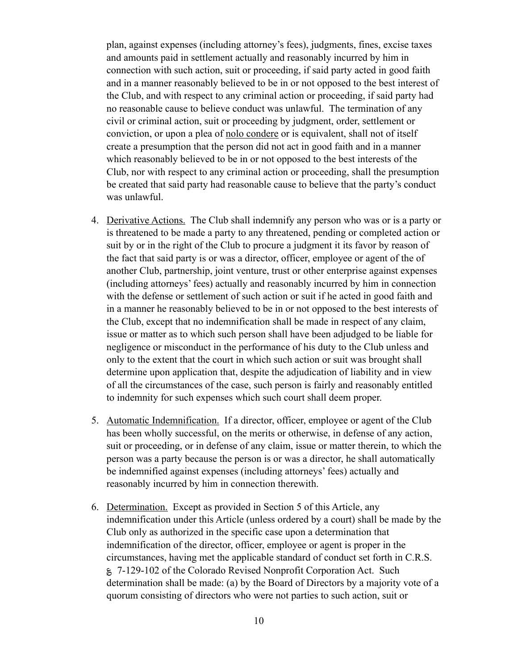plan, against expenses (including attorney's fees), judgments, fines, excise taxes and amounts paid in settlement actually and reasonably incurred by him in connection with such action, suit or proceeding, if said party acted in good faith and in a manner reasonably believed to be in or not opposed to the best interest of the Club, and with respect to any criminal action or proceeding, if said party had no reasonable cause to believe conduct was unlawful. The termination of any civil or criminal action, suit or proceeding by judgment, order, settlement or conviction, or upon a plea of nolo condere or is equivalent, shall not of itself create a presumption that the person did not act in good faith and in a manner which reasonably believed to be in or not opposed to the best interests of the Club, nor with respect to any criminal action or proceeding, shall the presumption be created that said party had reasonable cause to believe that the party's conduct was unlawful.

- 4. Derivative Actions. The Club shall indemnify any person who was or is a party or is threatened to be made a party to any threatened, pending or completed action or suit by or in the right of the Club to procure a judgment it its favor by reason of the fact that said party is or was a director, officer, employee or agent of the of another Club, partnership, joint venture, trust or other enterprise against expenses (including attorneys' fees) actually and reasonably incurred by him in connection with the defense or settlement of such action or suit if he acted in good faith and in a manner he reasonably believed to be in or not opposed to the best interests of the Club, except that no indemnification shall be made in respect of any claim, issue or matter as to which such person shall have been adjudged to be liable for negligence or misconduct in the performance of his duty to the Club unless and only to the extent that the court in which such action or suit was brought shall determine upon application that, despite the adjudication of liability and in view of all the circumstances of the case, such person is fairly and reasonably entitled to indemnity for such expenses which such court shall deem proper.
- 5. Automatic Indemnification. If a director, officer, employee or agent of the Club has been wholly successful, on the merits or otherwise, in defense of any action, suit or proceeding, or in defense of any claim, issue or matter therein, to which the person was a party because the person is or was a director, he shall automatically be indemnified against expenses (including attorneys' fees) actually and reasonably incurred by him in connection therewith.
- 6. Determination. Except as provided in Section 5 of this Article, any indemnification under this Article (unless ordered by a court) shall be made by the Club only as authorized in the specific case upon a determination that indemnification of the director, officer, employee or agent is proper in the circumstances, having met the applicable standard of conduct set forth in C.R.S. ؏ 7-129-102 of the Colorado Revised Nonprofit Corporation Act. Such determination shall be made: (a) by the Board of Directors by a majority vote of a quorum consisting of directors who were not parties to such action, suit or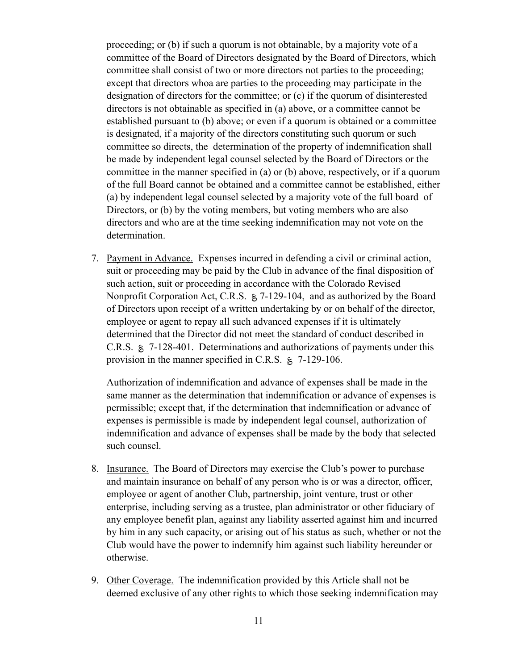proceeding; or (b) if such a quorum is not obtainable, by a majority vote of a committee of the Board of Directors designated by the Board of Directors, which committee shall consist of two or more directors not parties to the proceeding; except that directors whoa are parties to the proceeding may participate in the designation of directors for the committee; or (c) if the quorum of disinterested directors is not obtainable as specified in (a) above, or a committee cannot be established pursuant to (b) above; or even if a quorum is obtained or a committee is designated, if a majority of the directors constituting such quorum or such committee so directs, the determination of the property of indemnification shall be made by independent legal counsel selected by the Board of Directors or the committee in the manner specified in (a) or (b) above, respectively, or if a quorum of the full Board cannot be obtained and a committee cannot be established, either (a) by independent legal counsel selected by a majority vote of the full board of Directors, or (b) by the voting members, but voting members who are also directors and who are at the time seeking indemnification may not vote on the determination.

7. Payment in Advance. Expenses incurred in defending a civil or criminal action, suit or proceeding may be paid by the Club in advance of the final disposition of such action, suit or proceeding in accordance with the Colorado Revised Nonprofit Corporation Act, C.R.S. § 7-129-104, and as authorized by the Board of Directors upon receipt of a written undertaking by or on behalf of the director, employee or agent to repay all such advanced expenses if it is ultimately determined that the Director did not meet the standard of conduct described in C.R.S. ؏ 7-128-401. Determinations and authorizations of payments under this provision in the manner specified in C.R.S.  $\approx 7-129-106$ .

 Authorization of indemnification and advance of expenses shall be made in the same manner as the determination that indemnification or advance of expenses is permissible; except that, if the determination that indemnification or advance of expenses is permissible is made by independent legal counsel, authorization of indemnification and advance of expenses shall be made by the body that selected such counsel.

- 8. Insurance. The Board of Directors may exercise the Club's power to purchase and maintain insurance on behalf of any person who is or was a director, officer, employee or agent of another Club, partnership, joint venture, trust or other enterprise, including serving as a trustee, plan administrator or other fiduciary of any employee benefit plan, against any liability asserted against him and incurred by him in any such capacity, or arising out of his status as such, whether or not the Club would have the power to indemnify him against such liability hereunder or otherwise.
- 9. Other Coverage. The indemnification provided by this Article shall not be deemed exclusive of any other rights to which those seeking indemnification may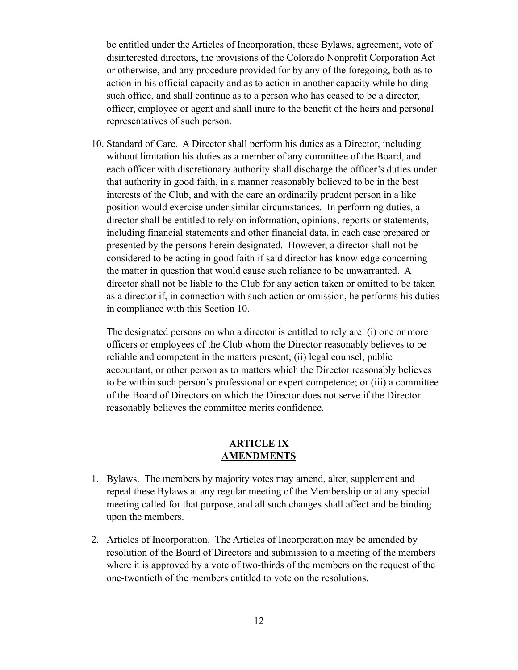be entitled under the Articles of Incorporation, these Bylaws, agreement, vote of disinterested directors, the provisions of the Colorado Nonprofit Corporation Act or otherwise, and any procedure provided for by any of the foregoing, both as to action in his official capacity and as to action in another capacity while holding such office, and shall continue as to a person who has ceased to be a director, officer, employee or agent and shall inure to the benefit of the heirs and personal representatives of such person.

10. Standard of Care. A Director shall perform his duties as a Director, including without limitation his duties as a member of any committee of the Board, and each officer with discretionary authority shall discharge the officer's duties under that authority in good faith, in a manner reasonably believed to be in the best interests of the Club, and with the care an ordinarily prudent person in a like position would exercise under similar circumstances. In performing duties, a director shall be entitled to rely on information, opinions, reports or statements, including financial statements and other financial data, in each case prepared or presented by the persons herein designated. However, a director shall not be considered to be acting in good faith if said director has knowledge concerning the matter in question that would cause such reliance to be unwarranted. A director shall not be liable to the Club for any action taken or omitted to be taken as a director if, in connection with such action or omission, he performs his duties in compliance with this Section 10.

The designated persons on who a director is entitled to rely are: (i) one or more officers or employees of the Club whom the Director reasonably believes to be reliable and competent in the matters present; (ii) legal counsel, public accountant, or other person as to matters which the Director reasonably believes to be within such person's professional or expert competence; or (iii) a committee of the Board of Directors on which the Director does not serve if the Director reasonably believes the committee merits confidence.

#### **ARTICLE IX AMENDMENTS**

- 1. Bylaws. The members by majority votes may amend, alter, supplement and repeal these Bylaws at any regular meeting of the Membership or at any special meeting called for that purpose, and all such changes shall affect and be binding upon the members.
- 2. Articles of Incorporation. The Articles of Incorporation may be amended by resolution of the Board of Directors and submission to a meeting of the members where it is approved by a vote of two-thirds of the members on the request of the one-twentieth of the members entitled to vote on the resolutions.